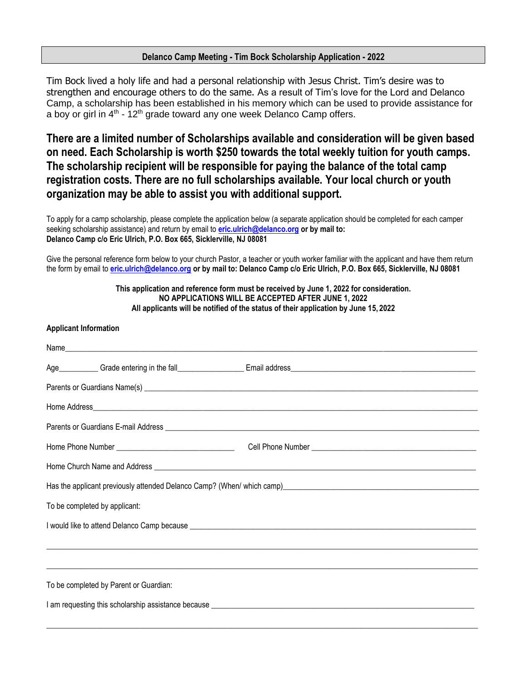## **Delanco Camp Meeting - Tim Bock Scholarship Application - 2022**

Tim Bock lived a holy life and had a personal relationship with Jesus Christ. Tim's desire was to strengthen and encourage others to do the same. As a result of Tim's love for the Lord and Delanco Camp, a scholarship has been established in his memory which can be used to provide assistance for a boy or girl in  $4<sup>th</sup>$  - 12<sup>th</sup> grade toward any one week Delanco Camp offers.

**There are a limited number of Scholarships available and consideration will be given based on need. Each Scholarship is worth \$250 towards the total weekly tuition for youth camps. The scholarship recipient will be responsible for paying the balance of the total camp registration costs. There are no full scholarships available. Your local church or youth organization may be able to assist you with additional support.**

To apply for a camp scholarship, please complete the application below (a separate application should be completed for each camper seeking scholarship assistance) and return by email to **[eric.ulrich@delanco.org](mailto:eric.ulrich@delanco.org) or by mail to: Delanco Camp c/o Eric Ulrich, P.O. Box 665, Sicklerville, NJ 08081**

Give the personal reference form below to your church Pastor, a teacher or youth worker familiar with the applicant and have them return the form by email to **[eric.ulrich@delanco.org](mailto:eric.ulrich@delanco.org) or by mail to: Delanco Camp c/o Eric Ulrich, P.O. Box 665, Sicklerville, NJ 08081**

## **This application and reference form must be received by June 1, 2022 for consideration. NO APPLICATIONS WILL BE ACCEPTED AFTER JUNE 1, 2022 All applicants will be notified of the status of their application by June 15, 2022**

## **Applicant Information**

| Has the applicant previously attended Delanco Camp? (When/ which camp) [19] The contract of the applicant previously attended Delanco Camp? (When/ which camp) [19] The contract of the state of the state of the state of the       |  |  |  |
|--------------------------------------------------------------------------------------------------------------------------------------------------------------------------------------------------------------------------------------|--|--|--|
| To be completed by applicant:                                                                                                                                                                                                        |  |  |  |
| I would like to attend Delanco Camp because <b>contract to the contract of the contract of the contract of the contract of the contract of the contract of the contract of the contract of the contract of the contract of the c</b> |  |  |  |
|                                                                                                                                                                                                                                      |  |  |  |
|                                                                                                                                                                                                                                      |  |  |  |
| To be completed by Parent or Guardian:                                                                                                                                                                                               |  |  |  |
| I am requesting this scholarship assistance because entrance entrance and the state of the state of the state of the state of the state of the state of the state of the state of the state of the state of the state of the s       |  |  |  |
|                                                                                                                                                                                                                                      |  |  |  |